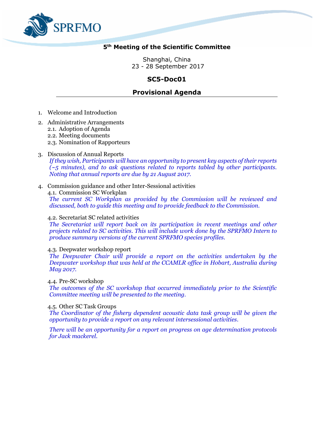

# **5 th Meeting of the Scientific Committee**

Shanghai, China 23 - 28 September 2017

# **SC5-Doc01**

# **Provisional Agenda**

- 1. Welcome and Introduction
- 2. Administrative Arrangements
	- 2.1. Adoption of Agenda
	- 2.2. Meeting documents
	- 2.3. Nomination of Rapporteurs

# 3. Discussion of Annual Reports

*If they wish, Participants will have an opportunity to present key aspects of their reports (~5 minutes), and to ask questions related to reports tabled by other participants. Noting that annual reports are due by 21 August 2017.* 

# 4. Commission guidance and other Inter-Sessional activities

4.1. Commission SC Workplan *The current SC Workplan as provided by the Commission will be reviewed and discussed, both to guide this meeting and to provide feedback to the Commission.*

#### 4.2. Secretariat SC related activities

*The Secretariat will report back on its participation in recent meetings and other projects related to SC activities. This will include work done by the SPRFMO Intern to produce summary versions of the current SPRFMO species profiles.* 

### 4.3. Deepwater workshop report

*The Deepwater Chair will provide a report on the activities undertaken by the Deepwater workshop that was held at the CCAMLR office in Hobart, Australia during May 2017.*

4.4. Pre-SC workshop

*The outcomes of the SC workshop that occurred immediately prior to the Scientific Committee meeting will be presented to the meeting.*

# 4.5. Other SC Task Groups

*The Coordinator of the fishery dependent acoustic data task group will be given the opportunity to provide a report on any relevant intersessional activities.*

*There will be an opportunity for a report on progress on age determination protocols for Jack mackerel.*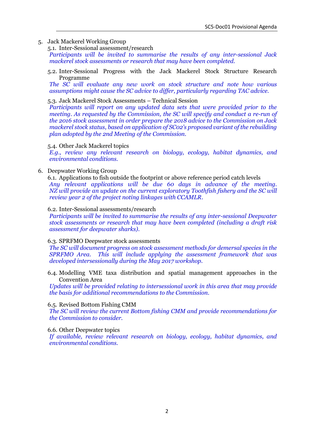# 5. Jack Mackerel Working Group

5.1. Inter-Sessional assessment/research

*Participants will be invited to summarise the results of any inter-sessional Jack mackerel stock assessments or research that may have been completed.*

5.2. Inter-Sessional Progress with the Jack Mackerel Stock Structure Research Programme

*The SC will evaluate any new work on stock structure and note how various assumptions might cause the SC advice to differ, particularly regarding TAC advice.* 

#### 5.3. Jack Mackerel Stock Assessments – Technical Session

*Participants will report on any updated data sets that were provided prior to the meeting. As requested by the Commission, the SC will specify and conduct a re-run of the 2016 stock assessment in order prepare the 2018 advice to the Commission on Jack mackerel stock status, based on application of SC02's proposed variant of the rebuilding plan adopted by the 2nd Meeting of the Commission.*

#### 5.4. Other Jack Mackerel topics

*E.g., review any relevant research on biology, ecology, habitat dynamics, and environmental conditions.*

### 6. Deepwater Working Group

6.1. Applications to fish outside the footprint or above reference period catch levels *Any relevant applications will be due 60 days in advance of the meeting. NZ will provide an update on the current exploratory Toothfish fishery and the SC will review year 2 of the project noting linkages with CCAMLR.*

#### 6.2. Inter-Sessional assessments/research

*Participants will be invited to summarise the results of any inter-sessional Deepwater stock assessments or research that may have been completed (including a draft risk assessment for deepwater sharks).*

# 6.3. SPRFMO Deepwater stock assessments

*The SC will document progress on stock assessment methods for demersal species in the SPRFMO Area. This will include applying the assessment framework that was developed intersessionally during the May 2017 workshop.*

6.4. Modelling VME taxa distribution and spatial management approaches in the Convention Area

*Updates will be provided relating to intersessional work in this area that may provide the basis for additional recommendations to the Commission.*

# 6.5. Revised Bottom Fishing CMM

*The SC will review the current Bottom fishing CMM and provide recommendations for the Commission to consider.*

#### 6.6. Other Deepwater topics

*If available, review relevant research on biology, ecology, habitat dynamics, and environmental conditions.*